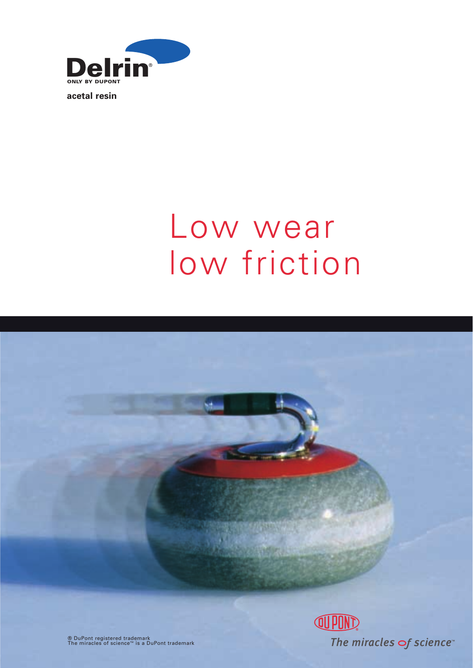

# Low wear low friction

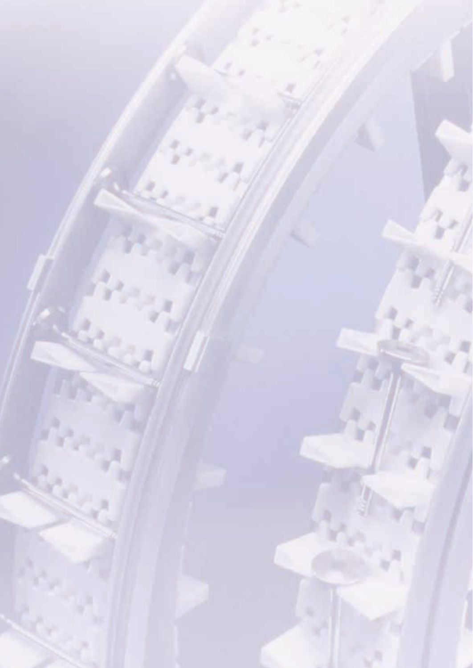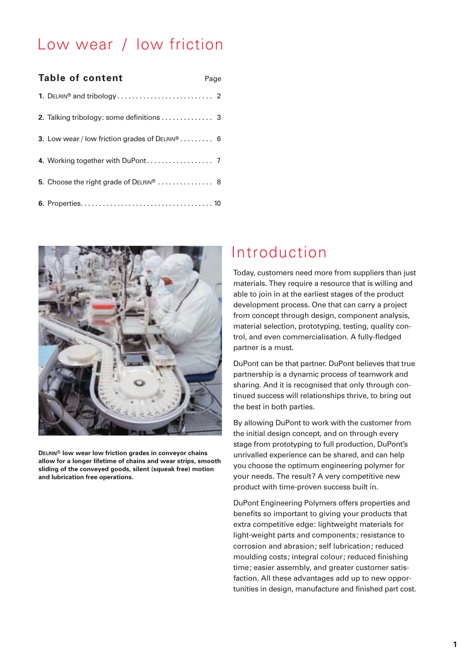# Low wear / low friction

| <b>Table of content</b>                        | Page |
|------------------------------------------------|------|
|                                                |      |
|                                                |      |
| 3. Low wear / low friction grades of DELRIN® 6 |      |
|                                                |      |
|                                                |      |
|                                                |      |



**DELRIN**® **low wear low friction grades in conveyor chains allow for a longer lifetime of chains and wear strips, smooth sliding of the conveyed goods, silent (squeak free) motion and lubrication free operations.**

# Introduction

Today, customers need more from suppliers than just materials. They require a resource that is willing and able to join in at the earliest stages of the product development process. One that can carry a project from concept through design, component analysis, material selection, prototyping, testing, quality control, and even commercialisation. A fully-fledged partner is a must.

DuPont can be that partner. DuPont believes that true partnership is a dynamic process of teamwork and sharing. And it is recognised that only through continued success will relationships thrive, to bring out the best in both parties.

By allowing DuPont to work with the customer from the initial design concept, and on through every stage from prototyping to full production, DuPont's unrivalled experience can be shared, and can help you choose the optimum engineering polymer for your needs. The result? A very competitive new product with time-proven success built in.

DuPont Engineering Polymers offers properties and benefits so important to giving your products that extra competitive edge: lightweight materials for light-weight parts and components; resistance to corrosion and abrasion; self lubrication; reduced moulding costs; integral colour; reduced finishing time; easier assembly, and greater customer satisfaction. All these advantages add up to new opportunities in design, manufacture and finished part cost.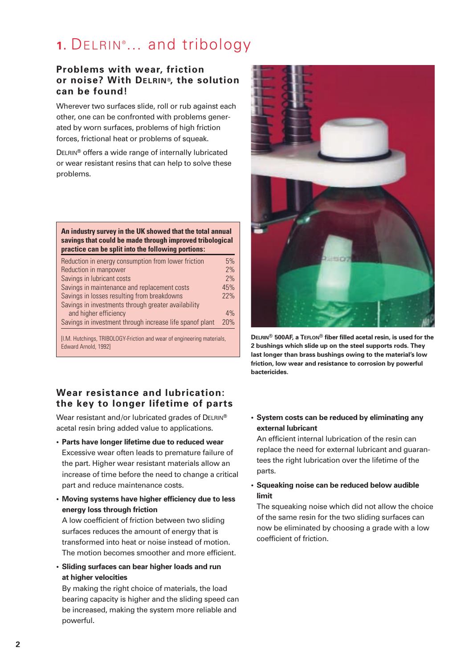# 1. DELRIN<sup>®</sup>... and tribology

### **Problems with wear, friction or noise? With DELRIN®, the solution can be found!**

Wherever two surfaces slide, roll or rub against each other, one can be confronted with problems generated by worn surfaces, problems of high friction forces, frictional heat or problems of squeak.

DELRIN® offers a wide range of internally lubricated or wear resistant resins that can help to solve these problems.

**An industry survey in the UK showed that the total annual savings that could be made through improved tribological practice can be split into the following portions:**

| Reduction in energy consumption from lower friction                                            | 5%  |
|------------------------------------------------------------------------------------------------|-----|
| Reduction in manpower                                                                          | 2%  |
| Savings in lubricant costs                                                                     | 2%  |
| Savings in maintenance and replacement costs                                                   | 45% |
| Savings in losses resulting from breakdowns                                                    | 22% |
| Savings in investments through greater availability                                            |     |
| and higher efficiency                                                                          | 4%  |
| Savings in investment through increase life spanof plant                                       | 20% |
| [I.M. Hutchings, TRIBOLOGY-Friction and wear of engineering materials,<br>Edward Arnold, 1992] |     |



**DELRIN**® **500AF, a TEFLON**® **fiber filled acetal resin, is used for the 2 bushings which slide up on the steel supports rods. They last longer than brass bushings owing to the material's low friction, low wear and resistance to corrosion by powerful bactericides.**

### **Wear resistance and lubrication: the key to longer lifetime of parts**

Wear resistant and/or lubricated grades of DELRIN® acetal resin bring added value to applications.

- **Parts have longer lifetime due to reduced wear** Excessive wear often leads to premature failure of the part. Higher wear resistant materials allow an increase of time before the need to change a critical part and reduce maintenance costs.
- **• Moving systems have higher efficiency due to less energy loss through friction**

A low coefficient of friction between two sliding surfaces reduces the amount of energy that is transformed into heat or noise instead of motion. The motion becomes smoother and more efficient.

**• Sliding surfaces can bear higher loads and run at higher velocities**

By making the right choice of materials, the load bearing capacity is higher and the sliding speed can be increased, making the system more reliable and powerful.

**• System costs can be reduced by eliminating any external lubricant**

An efficient internal lubrication of the resin can replace the need for external lubricant and guarantees the right lubrication over the lifetime of the parts.

**• Squeaking noise can be reduced below audible limit**

The squeaking noise which did not allow the choice of the same resin for the two sliding surfaces can now be eliminated by choosing a grade with a low coefficient of friction.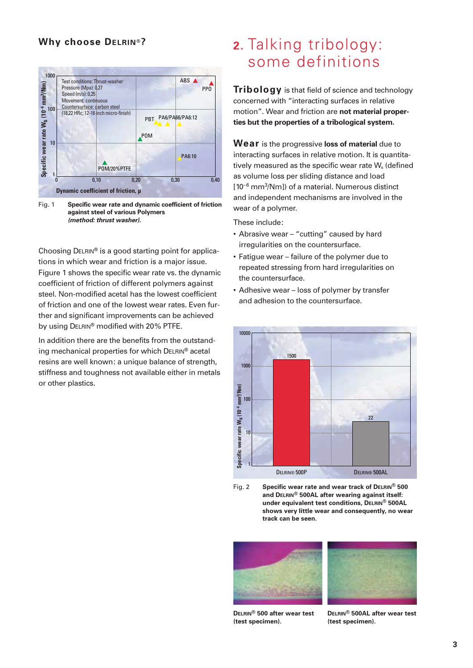### **Why choose DELRIN®?**



Fig. 1 **Specific wear rate and dynamic coefficient of friction against steel of various Polymers**  *(method: thrust washer).*

Choosing DELRIN® is a good starting point for applications in which wear and friction is a major issue. Figure 1 shows the specific wear rate vs. the dynamic coefficient of friction of different polymers against steel. Non-modified acetal has the lowest coefficient of friction and one of the lowest wear rates. Even further and significant improvements can be achieved by using DELRIN® modified with 20% PTFE.

In addition there are the benefits from the outstanding mechanical properties for which DELRIN® acetal resins are well known: a unique balance of strength, stiffness and toughness not available either in metals or other plastics.

# **2.** Talking tribology: some definitions

**Tribology** is that field of science and technology concerned with "interacting surfaces in relative motion". Wear and friction are **not material properties but the properties of a tribological system.**

**Wear** is the progressive **loss of material** due to interacting surfaces in relative motion. It is quantitatively measured as the specific wear rate  $W<sub>s</sub>$  (defined as volume loss per sliding distance and load [10–6 mm3/Nm]) of a material. Numerous distinct and independent mechanisms are involved in the wear of a polymer.

These include:

- Abrasive wear "cutting" caused by hard irregularities on the countersurface.
- Fatigue wear failure of the polymer due to repeated stressing from hard irregularities on the countersurface.
- Adhesive wear loss of polymer by transfer and adhesion to the countersurface.



Fig. 2 **Specific wear rate and wear track of DELRIN**® **500 and DELRIN**® **500AL after wearing against itself: under equivalent test conditions, DELRIN**® **500AL shows very little wear and consequently, no wear track can be seen.**



**DELRIN**® **500 after wear test (test specimen).**



**DELRIN**® **500AL after wear test (test specimen).**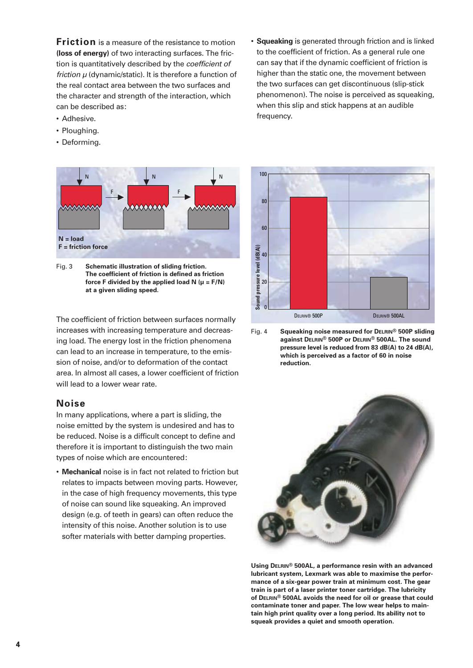**Friction** is a measure of the resistance to motion **(loss of energy)** of two interacting surfaces. The friction is quantitatively described by the *coefficient of friction µ* (dynamic/static). It is therefore a function of the real contact area between the two surfaces and the character and strength of the interaction, which can be described as:

- Adhesive.
- Ploughing.
- Deforming.



Fig. 3 **Schematic illustration of sliding friction. The coefficient of friction is defined as friction** force F divided by the applied load  $N$  ( $\mu$  = F/N) **at a given sliding speed.**

The coefficient of friction between surfaces normally increases with increasing temperature and decreasing load. The energy lost in the friction phenomena can lead to an increase in temperature, to the emission of noise, and/or to deformation of the contact area. In almost all cases, a lower coefficient of friction will lead to a lower wear rate.

### **Noise**

In many applications, where a part is sliding, the noise emitted by the system is undesired and has to be reduced. Noise is a difficult concept to define and therefore it is important to distinguish the two main types of noise which are encountered:

• **Mechanical** noise is in fact not related to friction but relates to impacts between moving parts. However, in the case of high frequency movements, this type of noise can sound like squeaking. An improved design (e.g. of teeth in gears) can often reduce the intensity of this noise. Another solution is to use softer materials with better damping properties.

• **Squeaking** is generated through friction and is linked to the coefficient of friction. As a general rule one can say that if the dynamic coefficient of friction is higher than the static one, the movement between the two surfaces can get discontinuous (slip-stick phenomenon). The noise is perceived as squeaking, when this slip and stick happens at an audible frequency.



Fig. 4 **Squeaking noise measured for DELRIN**® **500P sliding against DELRIN**® **500P or DELRIN**® **500AL. The sound pressure level is reduced from 83 dB(A) to 24 dB(A), which is perceived as a factor of 60 in noise reduction.**



**Using DELRIN**® **500AL, a performance resin with an advanced lubricant system, Lexmark was able to maximise the performance of a six-gear power train at minimum cost. The gear train is part of a laser printer toner cartridge. The lubricity of DELRIN**® **500AL avoids the need for oil or grease that could contaminate toner and paper. The low wear helps to maintain high print quality over a long period. Its ability not to squeak provides a quiet and smooth operation.**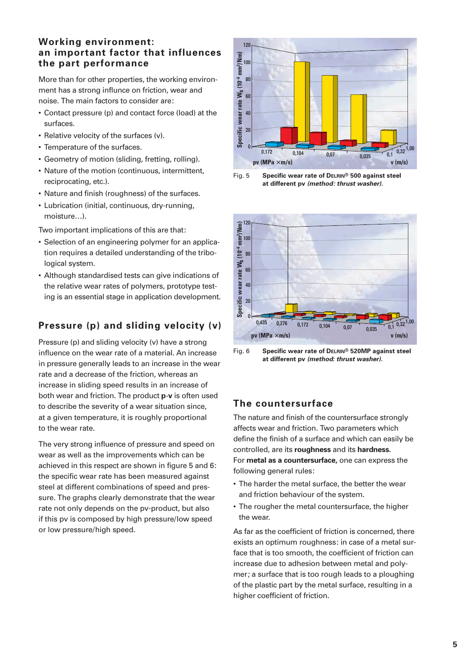### **Working environment: an important factor that influences the part performance**

More than for other properties, the working environment has a strong influnce on friction, wear and noise. The main factors to consider are:

- Contact pressure (p) and contact force (load) at the surfaces.
- Relative velocity of the surfaces (v).
- Temperature of the surfaces.
- Geometry of motion (sliding, fretting, rolling).
- Nature of the motion (continuous, intermittent, reciprocating, etc.).
- Nature and finish (roughness) of the surfaces.
- Lubrication (initial, continuous, dry-running, moisture…).

Two important implications of this are that:

- Selection of an engineering polymer for an application requires a detailed understanding of the tribological system.
- Although standardised tests can give indications of the relative wear rates of polymers, prototype testing is an essential stage in application development.

## **Pressure (p) and sliding velocity (v)**

Pressure (p) and sliding velocity (v) have a strong influence on the wear rate of a material. An increase in pressure generally leads to an increase in the wear rate and a decrease of the friction, whereas an increase in sliding speed results in an increase of both wear and friction. The product **p·v** is often used to describe the severity of a wear situation since, at a given temperature, it is roughly proportional to the wear rate.

The very strong influence of pressure and speed on wear as well as the improvements which can be achieved in this respect are shown in figure 5 and 6: the specific wear rate has been measured against steel at different combinations of speed and pressure. The graphs clearly demonstrate that the wear rate not only depends on the pv-product, but also if this pv is composed by high pressure/low speed or low pressure/high speed.



Fig. 5 **Specific wear rate of DELRIN**® **500 against steel at different pv** *(method: thrust washer).*



Fig. 6 **Specific wear rate of DELRIN**® **520MP against steel at different pv** *(method: thrust washer).*

### **The countersurface**

The nature and finish of the countersurface strongly affects wear and friction. Two parameters which define the finish of a surface and which can easily be controlled, are its **roughness** and its **hardness.** For **metal as a countersurface,** one can express the following general rules:

- The harder the metal surface, the better the wear and friction behaviour of the system.
- The rougher the metal countersurface, the higher the wear.

As far as the coefficient of friction is concerned, there exists an optimum roughness: in case of a metal surface that is too smooth, the coefficient of friction can increase due to adhesion between metal and polymer; a surface that is too rough leads to a ploughing of the plastic part by the metal surface, resulting in a higher coefficient of friction.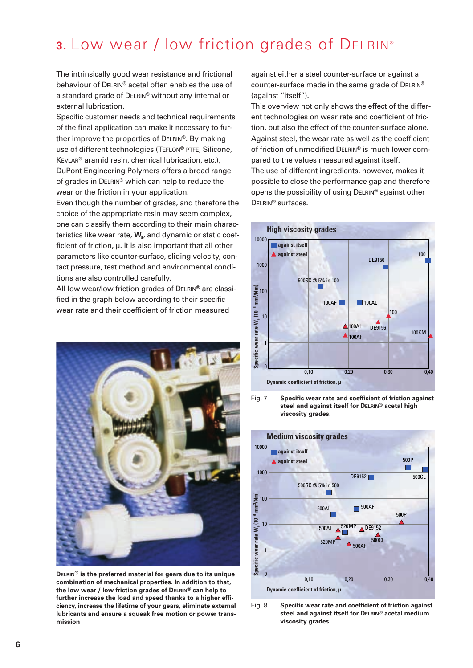# **3.** Low wear / low friction grades of DELRIN<sup>®</sup>

The intrinsically good wear resistance and frictional behaviour of DELRIN® acetal often enables the use of a standard grade of DELRIN® without any internal or external lubrication.

Specific customer needs and technical requirements of the final application can make it necessary to further improve the properties of DELRIN®. By making use of different technologies (TEFLON® PTFE, Silicone, KEVLAR® aramid resin, chemical lubrication, etc.), DuPont Engineering Polymers offers a broad range of grades in DELRIN® which can help to reduce the wear or the friction in your application.

Even though the number of grades, and therefore the choice of the appropriate resin may seem complex, one can classify them according to their main characteristics like wear rate, **Ws**, and dynamic or static coefficient of friction, µ. It is also important that all other parameters like counter-surface, sliding velocity, contact pressure, test method and environmental conditions are also controlled carefully.

All low wear/low friction grades of DELRIN® are classified in the graph below according to their specific wear rate and their coefficient of friction measured



**DELRIN**® **is the preferred material for gears due to its unique combination of mechanical properties. In addition to that, the low wear / low friction grades of DELRIN**® **can help to further increase the load and speed thanks to a higher efficiency, increase the lifetime of your gears, eliminate external lubricants and ensure a squeak free motion or power transmission**

against either a steel counter-surface or against a counter-surface made in the same grade of DELRIN® (against "itself").

This overview not only shows the effect of the different technologies on wear rate and coefficient of friction, but also the effect of the counter-surface alone. Against steel, the wear rate as well as the coefficient of friction of unmodified DELRIN® is much lower compared to the values measured against itself.

The use of different ingredients, however, makes it possible to close the performance gap and therefore opens the possibility of using DELRIN® against other DELRIN® surfaces.



Fig. 7 **Specific wear rate and coefficient of friction against steel and against itself for DELRIN**® **acetal high viscosity grades.**



Fig. 8 **Specific wear rate and coefficient of friction against steel and against itself for DELRIN**® **acetal medium viscosity grades.**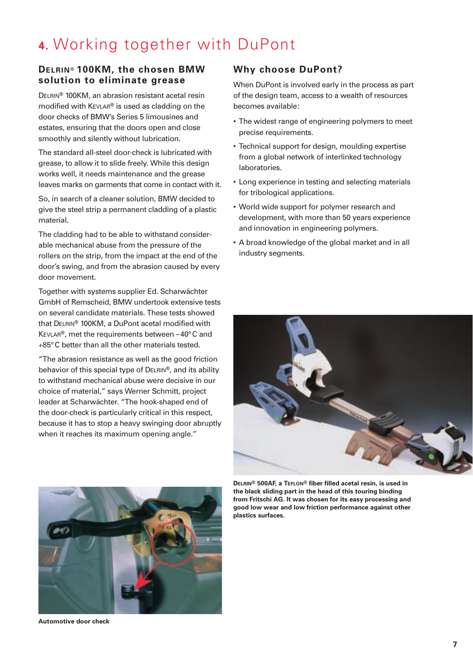# **4.** Working together with DuPont

### **DELRIN** ® **100KM, the chosen BMW solution to eliminate grease**

DELRIN® 100KM, an abrasion resistant acetal resin modified with KEVLAR® is used as cladding on the door checks of BMW's Series 5 limousines and estates, ensuring that the doors open and close smoothly and silently without lubrication.

The standard all-steel door-check is lubricated with grease, to allow it to slide freely. While this design works well, it needs maintenance and the grease leaves marks on garments that come in contact with it.

So, in search of a cleaner solution, BMW decided to give the steel strip a permanent cladding of a plastic material.

The cladding had to be able to withstand considerable mechanical abuse from the pressure of the rollers on the strip, from the impact at the end of the door's swing, and from the abrasion caused by every door movement.

Together with systems supplier Ed. Scharwächter GmbH of Remscheid, BMW undertook extensive tests on several candidate materials. These tests showed that DELRIN® 100KM, a DuPont acetal modified with KEVLAR®, met the requirements between –40°C and +85°C better than all the other materials tested.

"The abrasion resistance as well as the good friction behavior of this special type of DELRIN®, and its ability to withstand mechanical abuse were decisive in our choice of material," says Werner Schmitt, project leader at Scharwächter. "The hook-shaped end of the door-check is particularly critical in this respect, because it has to stop a heavy swinging door abruptly when it reaches its maximum opening angle."



**Automotive door check**

### **Why choose DuPont?**

When DuPont is involved early in the process as part of the design team, access to a wealth of resources becomes available:

- The widest range of engineering polymers to meet precise requirements.
- Technical support for design, moulding expertise from a global network of interlinked technology laboratories.
- Long experience in testing and selecting materials for tribological applications.
- World wide support for polymer research and development, with more than 50 years experience and innovation in engineering polymers.
- A broad knowledge of the global market and in all industry segments.



**DELRIN**® **500AF, a TEFLON**® **fiber filled acetal resin, is used in the black sliding part in the head of this touring binding from Fritschi AG. It was chosen for its easy processing and good low wear and low friction performance against other plastics surfaces.**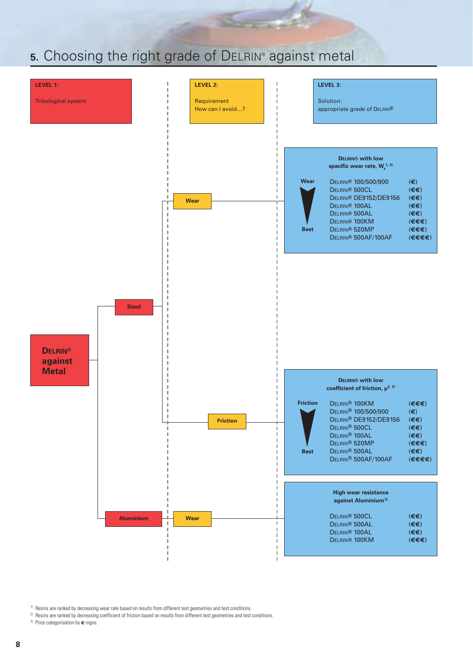# **5.** Choosing the right grade of DELRIN® against metal

**SELL-A** 



<sup>1)</sup> Resins are ranked by decreasing wear rate based on results from different test geometries and test conditions.

<sup>2)</sup> Resins are ranked by decreasing coefficient of friction based on results from different test geometries and test conditions.

3) Price categorisation by **€**-signs.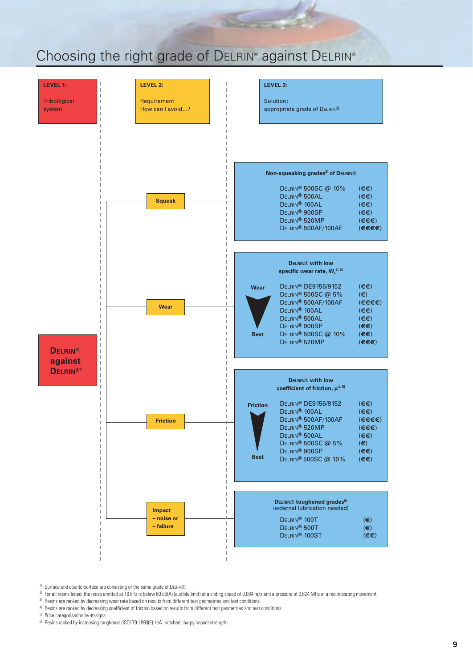# Choosing the right grade of DELRIN® against DELRIN®

**Seco** 



 $1)$  Surface and countersurface are consisting of the same grade of DELRIN®.

<sup>2)</sup> For all resins listed, the noise emitted at 16 kHz is below 60 dB(A) (audible limit) at a sliding speed of 0,084 m/s and a pressure of 0,624 MPa in a reciprocating movement.

<sup>3)</sup> Resins are ranked by decreasing wear rate based on results from different test geometries and test conditions.

4) Resins are ranked by decreasing coefficient of friction based on results from different test geometries and test conditions.

5) Price categorisation by **€**-signs.

6) Resins ranked by increasing toughness (ISO179:1993(E) 1eA: notched charpy impact strength).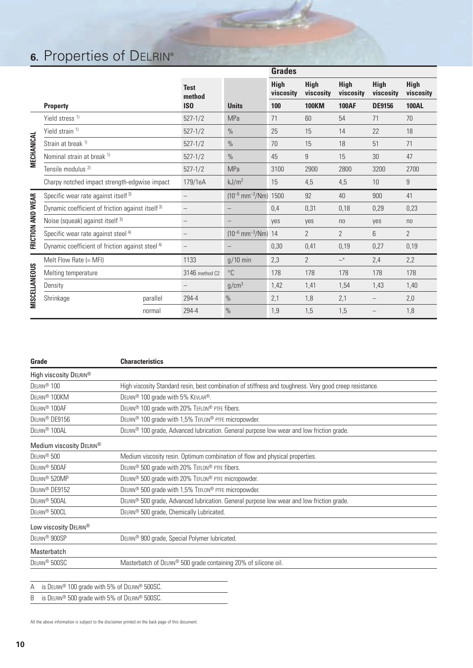# **6.** Properties of DELRIN®

|                      |                                                              |             |                          |                                     | <b>Grades</b>            |                          |                          |                          |                          |
|----------------------|--------------------------------------------------------------|-------------|--------------------------|-------------------------------------|--------------------------|--------------------------|--------------------------|--------------------------|--------------------------|
|                      |                                                              |             | <b>Test</b><br>method    |                                     | <b>High</b><br>viscosity | <b>High</b><br>viscosity | <b>High</b><br>viscosity | <b>High</b><br>viscosity | <b>High</b><br>viscosity |
|                      | <b>Property</b>                                              |             | IS <sub>0</sub>          | <b>Units</b>                        | 100                      | <b>100KM</b>             | <b>100AF</b>             | <b>DE9156</b>            | <b>100AL</b>             |
|                      | Yield stress <sup>1)</sup>                                   |             | $527 - 1/2$              | <b>MPa</b>                          | 71                       | 60                       | 54                       | 71                       | 70                       |
|                      | Yield strain <sup>1)</sup>                                   |             | $527 - 1/2$              | $\%$                                | 25                       | 15                       | 14                       | 22                       | 18                       |
|                      | Strain at break <sup>1)</sup>                                |             | $527 - 1/2$              | $\%$                                | 70                       | 15                       | 18                       | 51                       | 71                       |
| MECHANICAL           | Nominal strain at break <sup>1)</sup>                        |             | $527 - 1/2$              | $\%$                                | 45                       | 9                        | 15                       | 30                       | 47                       |
|                      | Tensile modulus <sup>2)</sup>                                | $527 - 1/2$ | <b>MPa</b>               | 3100                                | 2900                     | 2800                     | 3200                     | 2700                     |                          |
|                      | Charpy notched impact strength-edgwise impact                |             | 179/1eA                  | kJ/m <sup>2</sup>                   | 15                       | 4,5                      | 4,5                      | 10                       | 9                        |
| FRICTION AND WEAR    | Specific wear rate against itself <sup>3)</sup>              |             | $\overline{\phantom{0}}$ | $(10^{-6}$ mm <sup>-3</sup> /Nm)    | 1500                     | 92                       | 40                       | 900                      | 41                       |
|                      | Dynamic coefficient of friction against itself <sup>3)</sup> |             |                          |                                     | 0,4                      | 0,31                     | 0,18                     | 0,29                     | 0,23                     |
|                      | Noise (squeak) against itself 3)                             |             |                          |                                     | yes                      | yes                      | n <sub>0</sub>           | yes                      | n <sub>0</sub>           |
|                      | Specific wear rate against steel <sup>4)</sup>               |             |                          | $(10^{-6}$ mm <sup>-3</sup> /Nm) 14 |                          | 2                        | 2                        | 6                        | $\overline{2}$           |
|                      | Dynamic coefficient of friction against steel 4)             |             |                          |                                     | 0,30                     | 0,41                     | 0,19                     | 0,27                     | 0,19                     |
|                      | Melt Flow Rate (= MFI)                                       |             | 1133                     | $g/10$ min                          | 2,3                      | $\overline{2}$           | $-^\ast$                 | 2,4                      | 2,2                      |
|                      | Melting temperature                                          |             | 3146 method C2           | $^{\circ}C$                         | 178                      | 178                      | 178                      | 178                      | 178                      |
|                      | Density                                                      |             |                          | g/cm <sup>3</sup>                   | 1,42                     | 1,41                     | 1,54                     | 1,43                     | 1,40                     |
| <b>MISCELLANEOUS</b> | Shrinkage                                                    | parallel    | 294-4                    | $\frac{0}{0}$                       | 2,1                      | 1,8                      | 2,1                      |                          | 2,0                      |
|                      |                                                              | normal      | 294-4                    | $\frac{0}{0}$                       | 1,9                      | 1,5                      | 1,5                      |                          | 1,8                      |

| Grade                                                                                                                  | <b>Characteristics</b>                                                                                  |  |  |
|------------------------------------------------------------------------------------------------------------------------|---------------------------------------------------------------------------------------------------------|--|--|
| High viscosity DELRIN®                                                                                                 |                                                                                                         |  |  |
| DELRIN <sup>®</sup> 100                                                                                                | High viscosity Standard resin, best combination of stiffness and toughness. Very good creep resistance. |  |  |
| DELRIN® 100KM                                                                                                          | DELRIN <sup>®</sup> 100 grade with 5% KEVLAR <sup>®</sup> .                                             |  |  |
| DELRIN <sup>®</sup> 100AF<br>DELRIN® 100 grade with 20% TEFLON® PTFE fibers.                                           |                                                                                                         |  |  |
| DELRIN <sup>®</sup> DE9156<br>DELRIN® 100 grade with 1,5% TEFLON® PTFE micropowder.                                    |                                                                                                         |  |  |
| DELRIN <sup>®</sup> 100AL<br>DELRIN® 100 grade, Advanced lubrication. General purpose low wear and low friction grade. |                                                                                                         |  |  |
| Medium viscosity DELRIN®                                                                                               |                                                                                                         |  |  |
| DELRIN <sup>®</sup> 500                                                                                                | Medium viscosity resin. Optimum combination of flow and physical properties.                            |  |  |
| DELRIN <sup>®</sup> 500AF                                                                                              | DELRIN® 500 grade with 20% TEFLON® PTFE fibers.                                                         |  |  |
| DELRIN® 520MP                                                                                                          | DELRIN® 500 grade with 20% TEFLON® PTFE micropowder.                                                    |  |  |
| DELRIN® DE9152                                                                                                         | DELRIN® 500 grade with 1,5% TEFLON® PTFE micropowder.                                                   |  |  |
| DELRIN <sup>®</sup> 500AL                                                                                              | DELRIN® 500 grade, Advanced lubrication. General purpose low wear and low friction grade.               |  |  |
| DELRIN® 500CL                                                                                                          | DELRIN® 500 grade, Chemically Lubricated.                                                               |  |  |
| Low viscosity DELRIN®                                                                                                  |                                                                                                         |  |  |
| DELRIN® 900SP                                                                                                          | DELRIN® 900 grade, Special Polymer lubricated.                                                          |  |  |
| Masterbatch                                                                                                            |                                                                                                         |  |  |
| DELRIN® 500SC                                                                                                          | Masterbatch of DELRIN® 500 grade containing 20% of silicone oil.                                        |  |  |
|                                                                                                                        |                                                                                                         |  |  |

A is DELRIN® 100 grade with 5% of DELRIN® 500SC. B is DELRIN<sup>®</sup> 500 grade with 5% of DELRIN<sup>®</sup> 500SC.

All the above information is subject to the disclaimer printed on the back page of this document.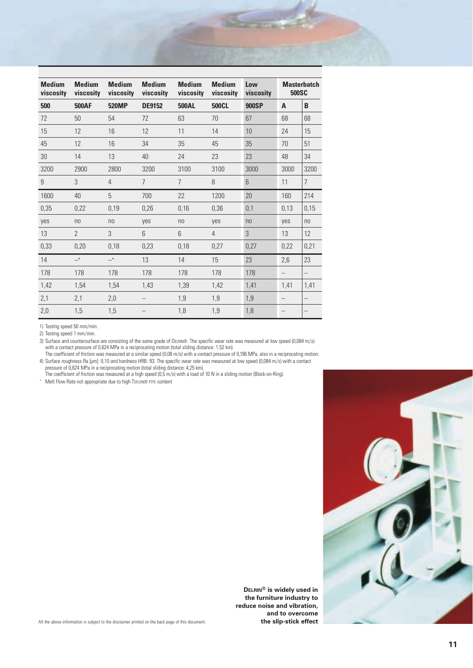| <b>Medium</b><br>viscosity | <b>Medium</b><br>viscosity | <b>Medium</b><br>viscosity | <b>Medium</b><br>viscosity | <b>Medium</b><br>viscosity | <b>Medium</b><br>viscosity | Low<br>viscosity | <b>Masterbatch</b><br><b>500SC</b> |                          |
|----------------------------|----------------------------|----------------------------|----------------------------|----------------------------|----------------------------|------------------|------------------------------------|--------------------------|
| 500                        | <b>500AF</b>               | <b>520MP</b>               | <b>DE9152</b>              | <b>500AL</b>               | <b>500CL</b>               | 900SP            | A                                  | B                        |
| 72                         | 50                         | 54                         | 72                         | 63                         | 70                         | 67               | 68                                 | 68                       |
| 15                         | 12                         | 16                         | 12                         | 11                         | 14                         | 10               | 24                                 | 15                       |
| 45                         | 12                         | 16                         | 34                         | 35                         | 45                         | 35               | 70                                 | 51                       |
| 30                         | 14                         | 13                         | 40                         | 24                         | 23                         | 23               | 48                                 | 34                       |
| 3200                       | 2900                       | 2800                       | 3200                       | 3100                       | 3100                       | 3000             | 3000                               | 3200                     |
| 9                          | 3                          | 4                          | $\overline{7}$             | $\overline{7}$             | 8                          | $6\overline{6}$  | 11                                 | $\overline{7}$           |
| 1600                       | 40                         | 5                          | 700                        | 22                         | 1200                       | 20               | 160                                | 214                      |
| 0,35                       | 0,22                       | 0,19                       | 0,26                       | 0,16                       | 0.36                       | 0,1              | 0.13                               | 0,15                     |
| yes                        | n <sub>0</sub>             | n <sub>0</sub>             | yes                        | n <sub>0</sub>             | yes                        | n <sub>0</sub>   | yes                                | n <sub>0</sub>           |
| 13                         | $\overline{2}$             | 3                          | 6                          | 6                          | 4                          | 3                | 13                                 | 12                       |
| 0,33                       | 0,20                       | 0,18                       | 0,23                       | 0,18                       | 0,27                       | 0,27             | 0,22                               | 0,21                     |
| 14                         | $-^\ast$                   | $-$ *                      | 13                         | 14                         | 15                         | 23               | 2,6                                | 23                       |
| 178                        | 178                        | 178                        | 178                        | 178                        | 178                        | 178              | $\overline{\phantom{a}}$           | $\overline{\phantom{0}}$ |
| 1,42                       | 1.54                       | 1,54                       | 1,43                       | 1,39                       | 1,42                       | 1,41             | 1,41                               | 1,41                     |
| 2,1                        | 2,1                        | 2,0                        |                            | 1,9                        | 1,9                        | 1,9              |                                    | $\overline{\phantom{0}}$ |
| 2,0                        | 1,5                        | 1,5                        |                            | 1,8                        | 1,9                        | 1,8              |                                    |                          |

1) Testing speed 50 mm/min.

2) Testing speed 1 mm/min.

3) Surface and countersurface are consisting of the same grade of DELRIN®. The specific wear rate was measured at low speed (0,084 m/s) with a contact pressure of 0,624 MPa in a reciprocating motion (total sliding distance: 1,52 km).

The coefficient of friction was measured at a similar speed (0,08 m/s) with a contact pressure of 0,196 MPa, also in a reciprocating motion. 4) Surface roughness Ra [µm]: 0,10 and hardness HRB: 93. The specific wear rate was measured at low speed (0,084 m/s) with a contact

pressure of 0,624 MPa in a reciprocating motion (total sliding distance: 4,25 km). The coefficient of friction was measured at a high speed (0,5 m/s) with a load of 10 N in a sliding motion (Block-on-Ring).

\* Melt Flow Rate not appropriate due to high TEFLON® PTFE content



**DELRIN**® **is widely used in the furniture industry to reduce noise and vibration, and to overcome the slip-stick effect**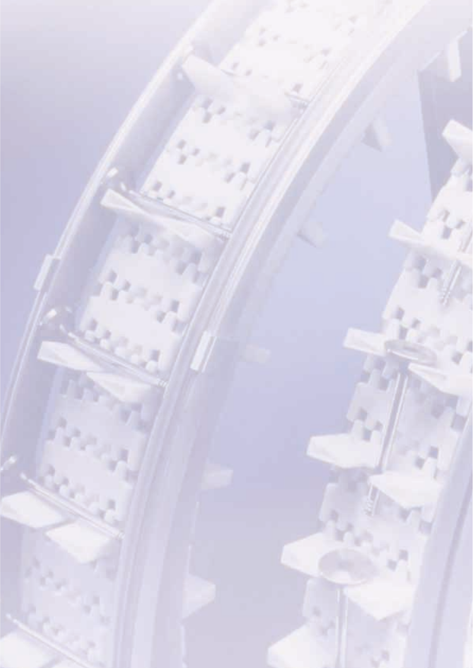